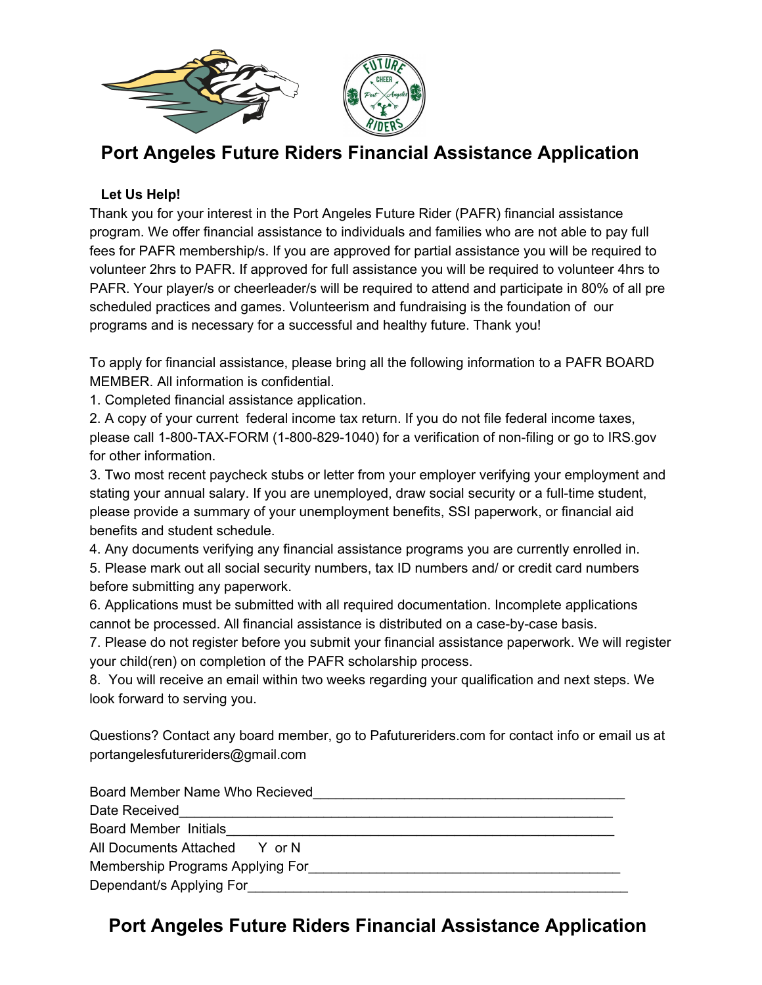

# **Port Angeles Future Riders Financial Assistance Application**

#### **Let Us Help!**

Thank you for your interest in the Port Angeles Future Rider (PAFR) financial assistance program. We offer financial assistance to individuals and families who are not able to pay full fees for PAFR membership/s. If you are approved for partial assistance you will be required to volunteer 2hrs to PAFR. If approved for full assistance you will be required to volunteer 4hrs to PAFR. Your player/s or cheerleader/s will be required to attend and participate in 80% of all pre scheduled practices and games. Volunteerism and fundraising is the foundation of our programs and is necessary for a successful and healthy future. Thank you!

To apply for financial assistance, please bring all the following information to a PAFR BOARD MEMBER. All information is confidential.

1. Completed financial assistance application.

2. A copy of your current federal income tax return. If you do not file federal income taxes, please call 1-800-TAX-FORM (1-800-829-1040) for a verification of non-filing or go to IRS.gov for other information.

3. Two most recent paycheck stubs or letter from your employer verifying your employment and stating your annual salary. If you are unemployed, draw social security or a full-time student, please provide a summary of your unemployment benefits, SSI paperwork, or financial aid benefits and student schedule.

4. Any documents verifying any financial assistance programs you are currently enrolled in.

5. Please mark out all social security numbers, tax ID numbers and/ or credit card numbers before submitting any paperwork.

6. Applications must be submitted with all required documentation. Incomplete applications cannot be processed. All financial assistance is distributed on a case-by-case basis.

7. Please do not register before you submit your financial assistance paperwork. We will register your child(ren) on completion of the PAFR scholarship process.

8. You will receive an email within two weeks regarding your qualification and next steps. We look forward to serving you.

Questions? Contact any board member, go to Pafutureriders.com for contact info or email us at portangelesfutureriders@gmail.com

| Board Member Name Who Recieved   |
|----------------------------------|
| Date Received                    |
| Board Member Initials            |
| All Documents Attached Y or N    |
| Membership Programs Applying For |
| Dependant/s Applying For         |

# **Port Angeles Future Riders Financial Assistance Application**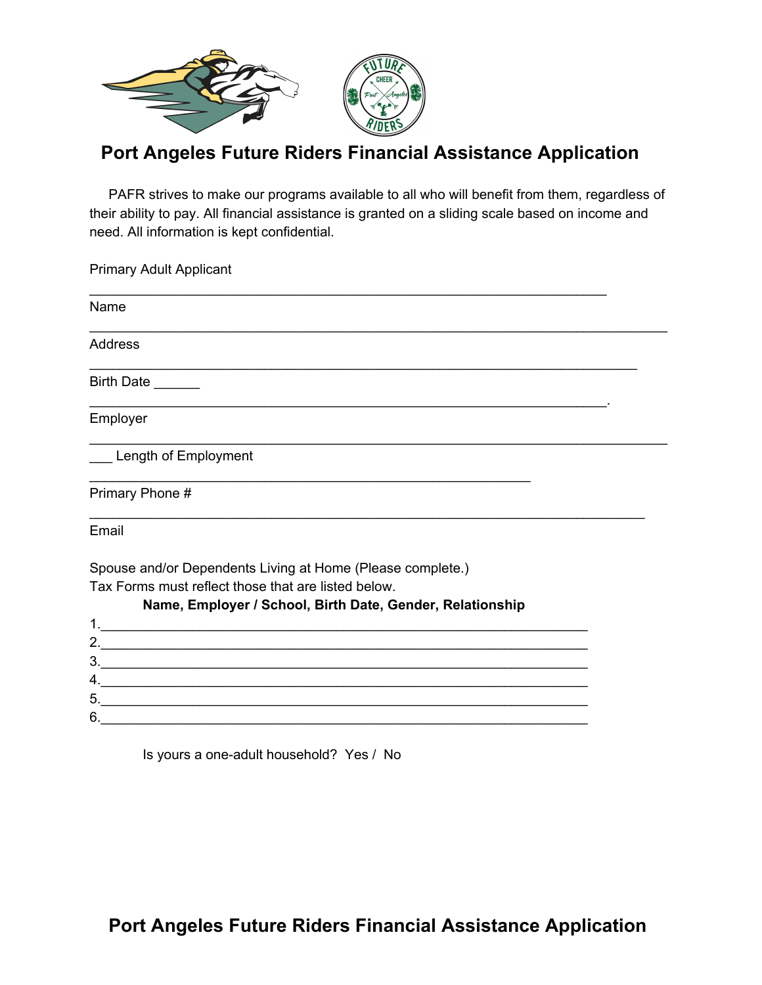

# **Port Angeles Future Riders Financial Assistance Application**

PAFR strives to make our programs available to all who will benefit from them, regardless of their ability to pay. All financial assistance is granted on a sliding scale based on income and need. All information is kept confidential.

Primary Adult Applicant \_\_\_\_\_\_\_\_\_\_\_\_\_\_\_\_\_\_\_\_\_\_\_\_\_\_\_\_\_\_\_\_\_\_\_\_\_\_\_\_\_\_\_\_\_\_\_\_\_\_\_\_\_\_\_\_\_\_\_\_\_\_\_\_\_\_\_\_

Name \_\_\_\_\_\_\_\_\_\_\_\_\_\_\_\_\_\_\_\_\_\_\_\_\_\_\_\_\_\_\_\_\_\_\_\_\_\_\_\_\_\_\_\_\_\_\_\_\_\_\_\_\_\_\_\_\_\_\_\_\_\_\_\_\_\_\_\_\_\_\_\_\_\_\_\_ Address \_\_\_\_\_\_\_\_\_\_\_\_\_\_\_\_\_\_\_\_\_\_\_\_\_\_\_\_\_\_\_\_\_\_\_\_\_\_\_\_\_\_\_\_\_\_\_\_\_\_\_\_\_\_\_\_\_\_\_\_\_\_\_\_\_\_\_\_\_\_\_\_ Birth Date \_\_\_\_\_\_\_\_\_\_\_\_\_\_\_\_\_\_\_\_\_\_\_\_\_\_\_\_\_\_\_\_\_\_\_\_\_\_\_\_\_\_\_\_\_\_\_\_\_\_\_\_\_\_\_\_\_\_\_\_\_\_\_\_\_\_\_\_. Employer \_\_\_\_\_\_\_\_\_\_\_\_\_\_\_\_\_\_\_\_\_\_\_\_\_\_\_\_\_\_\_\_\_\_\_\_\_\_\_\_\_\_\_\_\_\_\_\_\_\_\_\_\_\_\_\_\_\_\_\_\_\_\_\_\_\_\_\_\_\_\_\_\_\_\_\_ Length of Employment \_\_\_\_\_\_\_\_\_\_\_\_\_\_\_\_\_\_\_\_\_\_\_\_\_\_\_\_\_\_\_\_\_\_\_\_\_\_\_\_\_\_\_\_\_\_\_\_\_\_\_\_\_\_\_\_\_\_ Primary Phone # \_\_\_\_\_\_\_\_\_\_\_\_\_\_\_\_\_\_\_\_\_\_\_\_\_\_\_\_\_\_\_\_\_\_\_\_\_\_\_\_\_\_\_\_\_\_\_\_\_\_\_\_\_\_\_\_\_\_\_\_\_\_\_\_\_\_\_\_\_\_\_\_\_ Email Spouse and/or Dependents Living at Home (Please complete.) Tax Forms must reflect those that are listed below.

| Name, Employer / School, Birth Date, Gender, Relationship |
|-----------------------------------------------------------|
|                                                           |
|                                                           |
|                                                           |
|                                                           |
|                                                           |
|                                                           |
|                                                           |

Is yours a one-adult household? Yes / No

**Port Angeles Future Riders Financial Assistance Application**